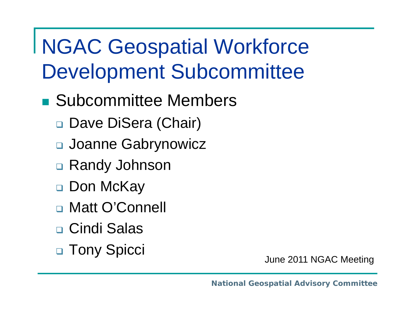- **Bubcommittee Members** 
	- □ Dave DiSera (Chair)
	- Joanne Gabrynowicz
	- Randy Johnson
	- $\Box$ Don McKay
	- Matt O'Connell
	- Cindi Salas
	- $\Box$ **Tony Spicci** June 2011 NGAC Meeting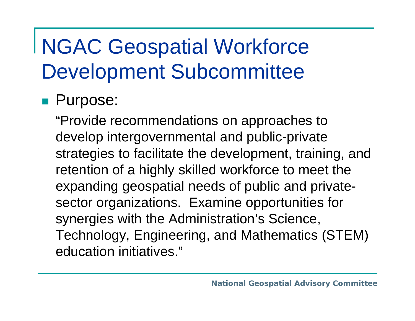#### **Purpose:**

"Provide recommendations on approaches to develop intergovernmental and public-private strategies to facilitate the development, training, and retention of a highly skilled workforce to meet the expanding geospatial needs of public and privatesector organizations. Examine opportunities for synergies with the Administration's Science, Technology, Engineering, and Mathematics (STEM) education initiatives."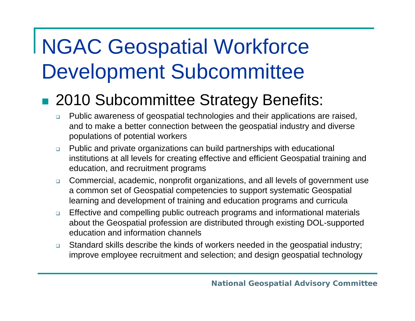### ■ 2010 Subcommittee Strategy Benefits:

- $\Box$  Public awareness of geospatial technologies and their applications are raised, and to make a better connection between the geospatial industry and diverse populations of potential workers
- $\Box$  Public and private organizations can build partnerships with educational institutions at all levels for creating effective and efficient Geospatial training and education, and recruitment programs
- $\Box$  Commercial, academic, nonprofit organizations, and all levels of government use a common set of Geospatial competencies to support systematic Geospatial learning and development of training and education programs and curricula
- $\Box$  Effective and compelling public outreach programs and informational materials about the Geospatial profession are distributed through existing DOL-supported education and information channels
- $\Box$  Standard skills describe the kinds of workers needed in the geospatial industry; improve employee recruitment and selection; and design geospatial technology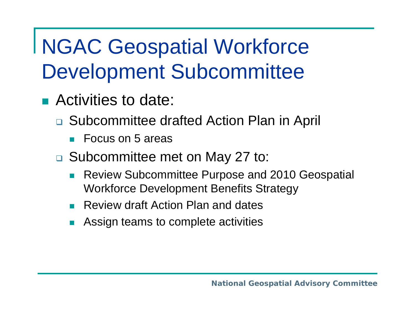- Activities to date:
	- □ Subcommittee drafted Action Plan in April
		- F. Focus on 5 areas
	- □ Subcommittee met on May 27 to:
		- F Review Subcommittee Purpose and 2010 Geospatial Workforce Development Benefits Strategy
		- F Review draft Action Plan and dates
		- × Assign teams to complete activities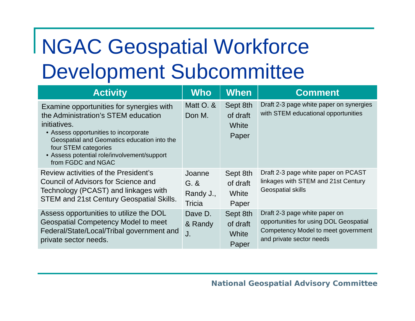| <b>Activity</b>                                                                                                                                                                                                                                                                      | <b>Who</b>                              | <b>When</b>                            | <b>Comment</b>                                                                                                                             |
|--------------------------------------------------------------------------------------------------------------------------------------------------------------------------------------------------------------------------------------------------------------------------------------|-----------------------------------------|----------------------------------------|--------------------------------------------------------------------------------------------------------------------------------------------|
| Examine opportunities for synergies with<br>the Administration's STEM education<br>initiatives.<br>• Assess opportunities to incorporate<br>Geospatial and Geomatics education into the<br>four STEM categories<br>• Assess potential role/involvement/support<br>from FGDC and NGAC | Matt O. &<br>Don M.                     | Sept 8th<br>of draft<br>White<br>Paper | Draft 2-3 page white paper on synergies<br>with STEM educational opportunities                                                             |
| Review activities of the President's<br>Council of Advisors for Science and<br>Technology (PCAST) and linkages with<br><b>STEM and 21st Century Geospatial Skills.</b>                                                                                                               | Joanne<br>$G.$ &<br>Randy J.,<br>Tricia | Sept 8th<br>of draft<br>White<br>Paper | Draft 2-3 page white paper on PCAST<br>linkages with STEM and 21st Century<br><b>Geospatial skills</b>                                     |
| Assess opportunities to utilize the DOL<br><b>Geospatial Competency Model to meet</b><br>Federal/State/Local/Tribal government and<br>private sector needs.                                                                                                                          | Dave D.<br>& Randy<br>J.                | Sept 8th<br>of draft<br>White<br>Paper | Draft 2-3 page white paper on<br>opportunities for using DOL Geospatial<br>Competency Model to meet government<br>and private sector needs |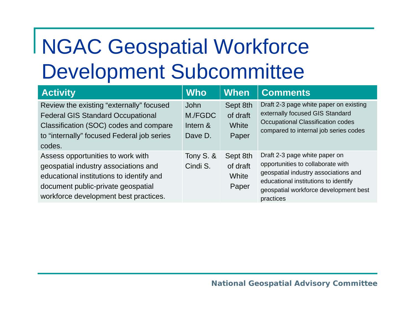| <b>Activity</b>                                                                                                                                                                                      | <b>Who</b>                             | <b>When</b>                            | <b>Comments</b>                                                                                                                                                                                          |
|------------------------------------------------------------------------------------------------------------------------------------------------------------------------------------------------------|----------------------------------------|----------------------------------------|----------------------------------------------------------------------------------------------------------------------------------------------------------------------------------------------------------|
| Review the existing "externally" focused<br><b>Federal GIS Standard Occupational</b><br>Classification (SOC) codes and compare<br>to "internally" focused Federal job series<br>codes.               | John<br>M./FGDC<br>Intern &<br>Dave D. | Sept 8th<br>of draft<br>White<br>Paper | Draft 2-3 page white paper on existing<br>externally focused GIS Standard<br>Occupational Classification codes<br>compared to internal job series codes                                                  |
| Assess opportunities to work with<br>geospatial industry associations and<br>educational institutions to identify and<br>document public-private geospatial<br>workforce development best practices. | Tony S. &<br>Cindi S.                  | Sept 8th<br>of draft<br>White<br>Paper | Draft 2-3 page white paper on<br>opportunities to collaborate with<br>geospatial industry associations and<br>educational institutions to identify<br>geospatial workforce development best<br>practices |